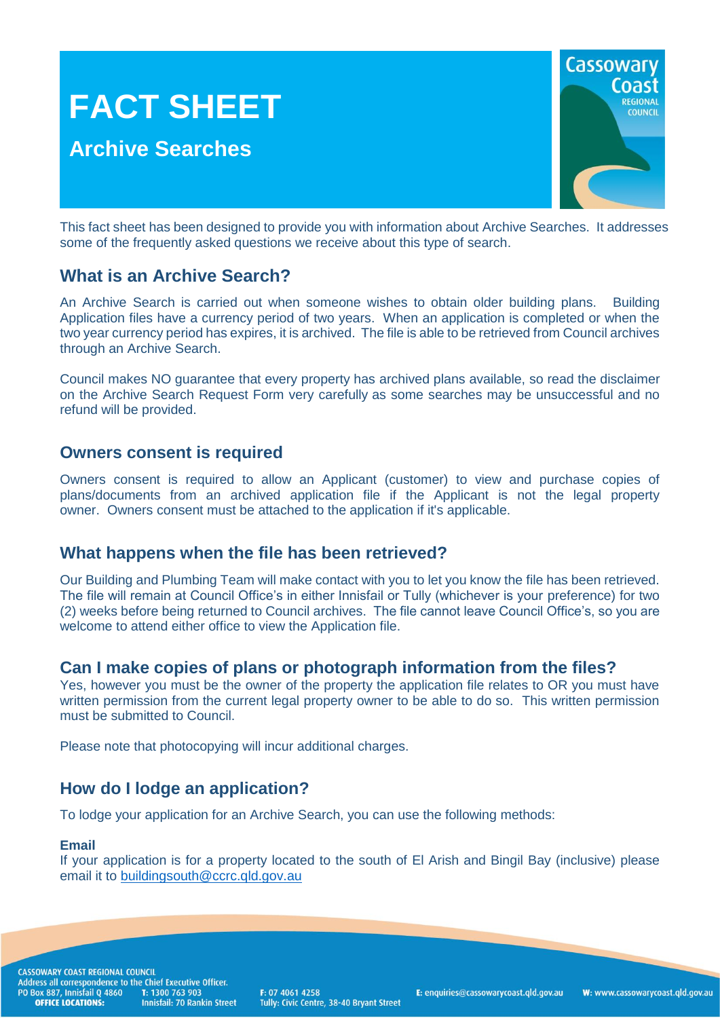

**Archive Searches**



This fact sheet has been designed to provide you with information about Archive Searches. It addresses some of the frequently asked questions we receive about this type of search.

# **What is an Archive Search?**

An Archive Search is carried out when someone wishes to obtain older building plans. Building Application files have a currency period of two years. When an application is completed or when the two year currency period has expires, it is archived. The file is able to be retrieved from Council archives through an Archive Search.

Council makes NO guarantee that every property has archived plans available, so read the disclaimer on the Archive Search Request Form very carefully as some searches may be unsuccessful and no refund will be provided.

### **Owners consent is required**

Owners consent is required to allow an Applicant (customer) to view and purchase copies of plans/documents from an archived application file if the Applicant is not the legal property owner. Owners consent must be attached to the application if it's applicable.

## **What happens when the file has been retrieved?**

Our Building and Plumbing Team will make contact with you to let you know the file has been retrieved. The file will remain at Council Office's in either Innisfail or Tully (whichever is your preference) for two (2) weeks before being returned to Council archives. The file cannot leave Council Office's, so you are welcome to attend either office to view the Application file.

## **Can I make copies of plans or photograph information from the files?**

Yes, however you must be the owner of the property the application file relates to OR you must have written permission from the current legal property owner to be able to do so. This written permission must be submitted to Council.

Please note that photocopying will incur additional charges.

# **How do I lodge an application?**

To lodge your application for an Archive Search, you can use the following methods:

#### **Email**

If your application is for a property located to the south of El Arish and Bingil Bay (inclusive) please email it to [buildingsouth@ccrc.qld.gov.au](mailto:buildingsouth@ccrc.qld.gov.au)

CASSOWARY COAST REGIONAL COUNCIL CASSOWART COAST REGIONAL COUNCIL<br>Address all correspondence to the Chief Executive Officer.<br>PO Box 887, Innisfail Q 4860 T: 1300 763 903<br>**OFFICE LOCATIONS:** Innisfail: 70 Rankin Stre **Innisfail: 70 Rankin Street** 

F: 07 4061 4258 Tully: Civic Centre, 38-40 Bryant Street E: enquiries@cassowarycoast.qld.gov.au

W: www.cassowarycoast.qld.gov.au